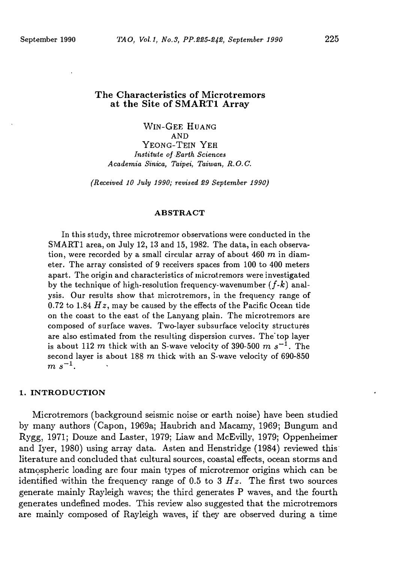# The Characteristics of Microtremors at the Site of SMART1 Array

WIN-GEE HUANG AND YEONG-TEIN YEH Institute of Barth Sciences Academia Sinica, Taipei, Taiwan, R. 0. C.

{Received 10 July 1990; revised 29 September 1990)

#### ABSTRACT

In this study, three microtremor observations were conducted in the SMART1 area, on July 12, 13 and 15, 1982. The data, in each observation, were recorded by a small circular array of about  $460$  m in diameter. The array consisted of 9 receivers spaces from 100 to 400 meters apart. The origin and characteristics of micratremors were investigated by the technique of high-resolution frequency-wavenumber  $(f-k)$  analysis. Our results show that microtremors, in the frequency range of 0.72 to 1.84  $Hz$ , may be caused by the effects of the Pacific Ocean tide on the coast to the east of the Lanyang plain. The microtremors are composed of surface waves. Two-layer subsurface velocity structures are also estimated from the resulting dispersion curves. The top layer is about 112 m thick with an S-wave velocity of 390-500 m  $s^{-1}$ . The second layer is about 188  $m$  thick with an S-wave velocity of 690-850  $m s^{-1}$ .

## 1. INTRODUCTION

Microtremors (background seismic noise or earth noise) have been studied by many authors (Capon, 1969a; Haubrich and Macamy, 1969; Bungum and Rygg, 1971; Douze and Laster, 1979; Liaw and McEvilly, 1979; Oppenheimer and Iyer, 1980) using array data. Asten and Henstridge (1984) reviewed this· literature and concluded that cultural sources, coastal effects, ocean storms and atmospheric loading are four main types of microtremor origins which can be identified within the frequency range of 0.5 to 3  $Hz$ . The first two sources generate mainly Rayleigh waves; the third generates P waves, and the fourth generates undefined modes. This review also suggested that the microtremors are mainly composed of Rayleigh waves, if they are observed during a time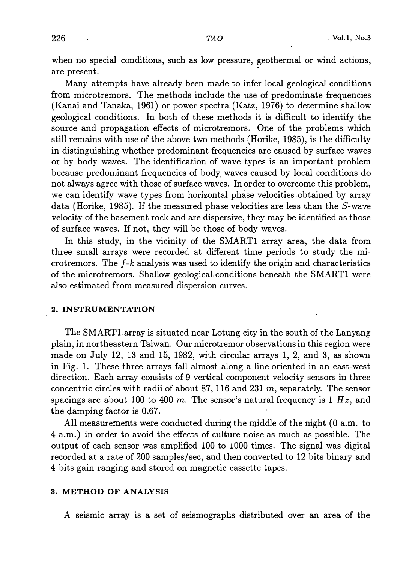when no special conditions, such as low pressure, geothermal or wind actions, are present. ·

Many attempts have already been made to infer local geological conditions from microtremors. The methods include the use of predominate frequencies (Kanai and Tanaka, 1961) or power spectra (Katz, 1976) to determine shallow geological conditions. In both of these methods it is difficult to identify the source and propagation effects of microtremors. One of the problems which still remains with use of the above two methods (Horike, 1985), is the difficulty in distinguishing whether predominant frequencies are caused by surface waves or by body waves. The identification of wave types is an important problem because predominant frequencies of body, waves caused by local conditions do not always agree with those of surface waves. In order to overcome this problem, we can identify wave types from horizontal phase velocities obtained by array data (Horike, 1985). If the measured phase velocities are less than the S-wave velocity of the basement rock and are dispersive, they may be identified as those of surface waves. If not, they will be those of body waves.

In this study, in the vicinity of the SMART1 array area, the data from three small arrays were recorded at different time periods to study the microtremors. The  $f-k$  analysis was used to identify the origin and characteristics of the microtremors. Shallow geological. conditions beneath the SMARTl were also estimated from measured dispersion curves.

#### 2. INSTRUMENTATION

The SMARTlarray is situated near Lotung city in the south of the Lanyang plain, in northeastern Taiwan. Our microtremor observations in this region were made on July 12, 13 and 15, 1982, with circular arrays 1, 2, and 3, as shown in Fig. 1. These three arrays fall almost along a line oriented in an east-west direction. Each array consists of 9 vertical component velocity sensors in three concentric circles with radii of about 87, 116 and 231  $m$ , separately. The sensor spacings are about 100 to 400 m. The sensor's natural frequency is 1  $Hz$ , and the damping factor is 0.67.

All measurements were conducted during the middle of the night (0 a.m. to <sup>4</sup>a.m.) in order to avoid the effects of culture noise as much as possible. The output of each sensor was amplified 100 to 1000 times. The signal was digital recorded at a rate of 200 samples/sec, and then converted to 12 bits binary and 4 bits gain ranging and stored on magnetic cassette tapes.

## 3. METHOD OF ANALYSIS

A seismic array is a set of seismographs distributed over an area of the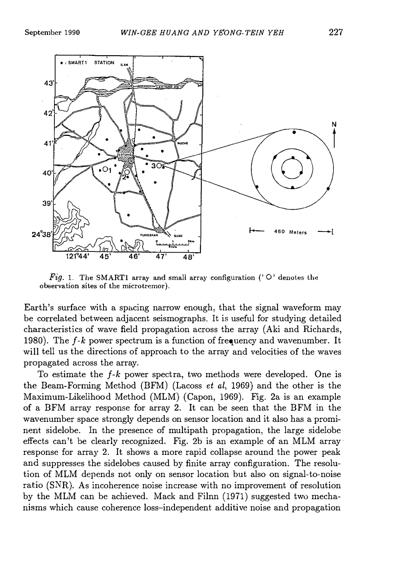

Fig. 1. The SMART1 array and small array configuration ( $\degree$  O $\degree$  denotes the observation sites of the microtremor).

Earth's surface with a spacing narrow enough, that the signal waveform may be correlated between adjacent seismographs. It is useful for studying detailed characteristics of wave field propagation across the array (Aki and Richards, 1980). The  $f$ -k power spectrum is a function of frequency and wavenumber. It will tell us the directions of approach to the array and velocities of the waves propagated across the array.

To estimate the  $f-k$  power spectra, two methods were developed. One is the Beam-Forming Method (BFM) (Lacoss et al, 1969) and the other is the Maximum-Likelihood Method (MLM) (Capon, 1969). Fig. 2a is an example of a BFM array response for array 2. It can be seen that the BFM in the wavenumber space strongly depends on sensor location and it also has a prominent sidelobe. In the presence of multipath propagation, the large sidelobe effects can't be clearly recognized. Fig. 2b is an example of an MLM array· response for array 2. It shows a more rapid collapse around the power peak and suppresses the sidelobes caused by finite array configuration. The resolution of MLM depends not only on sensor location but also on signal-to-noise ratio (SNR). As incoherence noise increase with no improvement of resolution by the MLM can be achieved. Mack and Filnn (1971) suggested two mechanisms which cause coherence loss-independent additive noise and propagation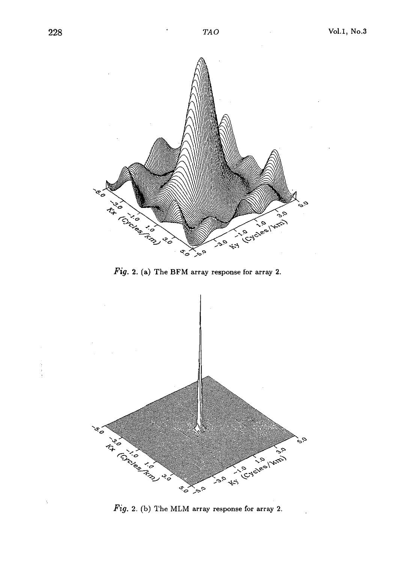$\ddot{\phantom{0}}$ 

 $\ddot{\cdot}$ 



Fig. 2. (a) The BFM array response for array 2.

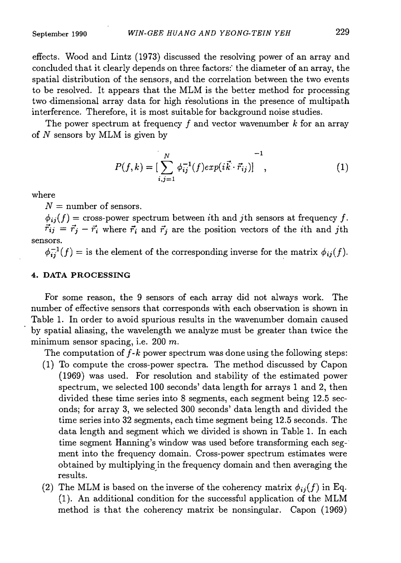effects. Wood and Lintz (1973) discussed the resolving power of an array and concluded that it clearly depends on three factors: the diameter of an array, the spatial distribution of the sensors, and the correlation between the two events to be resolved. It appears that the MLM is the better method for processing two dimensional array data for high resolutions in the presence of multipath interference. Therefore, it is most suitable for background noise studies.

The power spectrum at frequency f and vector wavenumber k for an array of  $N$  sensors by MLM is given by

$$
P(f,k) = \left[\sum_{i,j=1}^{N} \phi_{ij}^{-1}(f) exp(i\vec{k} \cdot \vec{r}_{ij})\right]^{-1},
$$
\n(1)

where

 $N =$  number of sensors.

 $\phi_{ii}(f)$  = cross-power spectrum between ith and jth sensors at frequency f.  $\vec{r}_{ij} = \vec{r}_j - \vec{r}_i$  where  $\vec{r}_i$  and  $\vec{r}_j$  are the position vectors of the *i*th and *j*th sensors.

 $\phi_{ij}^{-1}(f) = \text{is the element of the corresponding inverse for the matrix } \phi_{ij}(f).$ .

# 4. DATA PROCESSING

For some reason, the 9 sensors of each array did not always work. The number of effective sensors that corresponds with each observation is shown in Table 1. In order to avoid spurious results in the wavenumber domain caused by spatial aliasing, the wavelength we analyze must be greater than twice the minimum sensor spacing, i.e. 200 m.

The computation of  $f-k$  power spectrum was done using the following steps:

- (1) To compute the cross-power spectra. The method discussed by Capon (1969) was used. For resolution and stability of the estimated power spectrum, we selected 100 seconds' data length for arrays 1 and 2, then divided these time series into 8 segments, each segment being 12.5 seconds; for array 3, we selected 300 seconds' data length and divided the time series into 32 segments, each time segment being 12.5 seconds. The data length and segment which we divided is shown in Table 1. In each time segment Hanning's window was used before transforming each seg-· ment into the frequency domain. Cross-power spectrum estimates were obtained by multiplying in the frequency domain and then averaging the results.
- (2) The MLM is based on the inverse of the coherency matrix  $\phi_{ij}(f)$  in Eq. (1 ). An additional condition for the successful application of the MLM method is that the coherency matrix be nonsingular. Capon (1969)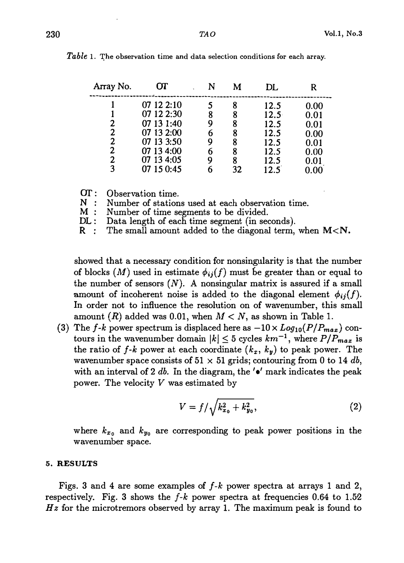| Array No. | OТ         |   |    | DI.            |          |
|-----------|------------|---|----|----------------|----------|
|           | 07 12 2:10 |   |    | 12.5           | 0.00     |
|           | 07 12 2:30 | 8 | 8  | $12.5^{\circ}$ | 0.01     |
| 2         | 07 13 1:40 |   | ጸ  | 12.5           | 0.01     |
| 2         | 07 13 2:00 |   | 8  | 12.5           | 0.00     |
| 2         | 07 13 3:50 | 9 | 8  | 12.5           | 0.01     |
| 2         | 07 13 4:00 | 6 | ጸ  | 12.5           | 0.00     |
| 2         | 07 13 4:05 | 9 | ጸ  | 12.5           | 0.01     |
| 3         | 07 15 0:45 |   | 32 | 12.5           | $0.00\,$ |

Table 1. The observation time and data selection conditions for each array.

OT: Observation time.<br>N: Number of station

 $N$  : Number of stations used at each observation time.<br> $M$  : Number of time segments to be divided.

Number of time segments to be divided.

DL: Data length of each time segment (in seconds).

R : The small amount added to the diagonal term, when  $M < N$ .

showed that a necessary condition for nonsingularity is that the number of blocks  $(M)$  used in estimate  $\phi_{ij}(f)$  must be greater than or equal to the number of sensors  $(N)$ . A nonsingular matrix is assured if a small amount of incoherent noise is added to the diagonal element  $\phi_{ij}(f)$ . In order not to influence the resolution on of wavenumber, this small amount  $(R)$  added was 0.01, when  $M < N$ , as shown in Table 1.

(3) The f-k power spectrum is displaced here as  $-10 \times Log_{10}(P/P_{max})$  contours in the wavenumber domain  $|k| \leq 5$  cycles  $km^{-1}$ , where  $P/P_{max}$  is the ratio of  $f-k$  power at each coordinate  $(k_x, k_y)$  to peak power. The wavenumber space consists of 51  $\times$  51 grids; contouring from 0 to 14 db, with an interval of 2 db. In the diagram, the  $\prime\bullet'$  mark indicates the peak power. The velocity V was estimated by

$$
V = f / \sqrt{k_{x_0}^2 + k_{y_0}^2},
$$
 (2)

where  $k_{x_0}$  and  $k_{y_0}$  are corresponding to peak power positions in the wavenumber space.

#### 5. RESULTS

Figs. 3 and 4 are some examples of  $f-k$  power spectra at arrays 1 and 2, respectively. Fig. 3 shows the  $f-k$  power spectra at frequencies 0.64 to 1.52  $Hz$  for the microtremors observed by array 1. The maximum peak is found to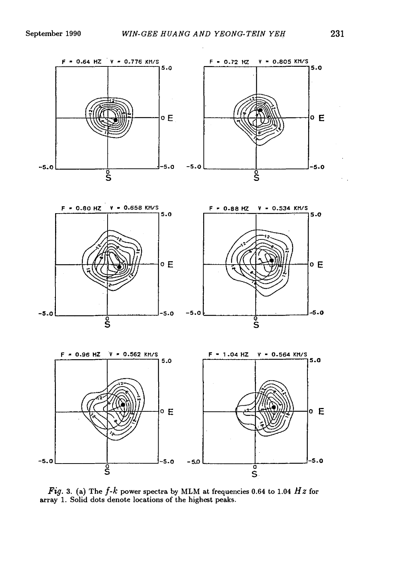





Fig. 3. (a) The  $f$ - $k$  power spectra by MLM at frequencies 0.64 to 1.04 Hz for array 1. Solid dots denote locations of the highest peaks.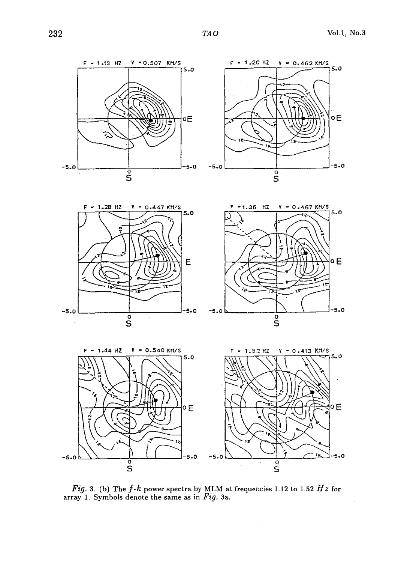









Fig. 3. (b) The  $f$ - $k$  power spectra by MLM at frequencies 1.12 to 1.52  $Hz$  for array 1. Symbols denote the same as in  $Fig. 3a.$ 

 $\gamma$  .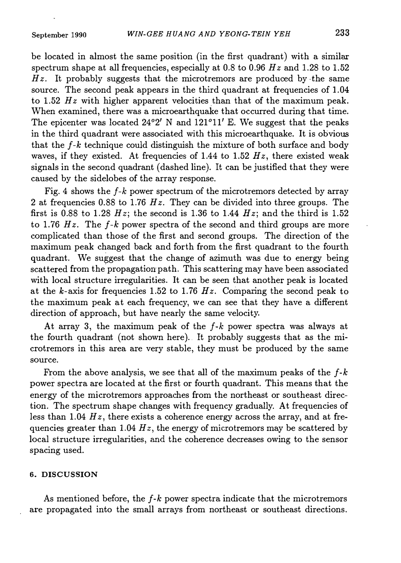be located in almost the same position (in the first quadrant) with a similar spectrum shape at all frequencies, especially at 0.8 to 0.96  $Hz$  and 1.28 to 1.52  $Hz$ . It probably suggests that the microtremors are produced by the same source. The second peak appears in the third quadrant at frequencies of 1.04 to 1.52  $Hz$  with higher apparent velocities than that of the maximum peak. When examined, there was a microearthquake that occurred during that time. The epicenter was located  $24^{\circ}2'$  N and  $121^{\circ}11'$  E. We suggest that the peaks in the third quadrant were associated with this microearthquake. It is obvious that the  $f-k$  technique could distinguish the mixture of both surface and body waves, if they existed. At frequencies of 1.44 to 1.52  $Hz$ , there existed weak signals in the second quadrant (dashed line). It can be justified that they were caused by the sidelobes of the array response.

Fig. 4 shows the  $f-k$  power spectrum of the microtremors detected by array 2 at frequencies 0.88 to 1.76  $Hz$ . They can be divided into three groups. The first is 0.88 to 1.28 Hz; the second is 1.36 to 1.44 Hz; and the third is 1.52 to 1.76  $Hz$ . The f-k power spectra of the second and third groups are more complicated than those of the first and second groups. The direction of the maximum peak changed back and forth from the first quadrant to the fourth quadrant. We suggest that the change of azimuth was due to energy being scattered from the propagation path. This scattering may have been associated with local structure irregularities. It can be seen that another peak is located at the k-axis for frequencies 1.52 to 1.76  $Hz$ . Comparing the second peak to the maximum peak at each frequency, we can see that they have a different direction of approach, but have nearly the same velocity.

At array 3, the maximum peak of the  $f-k$  power spectra was always at the fourth quadrant (not shown here). It probably suggests that as the microtremors in this area are very stable, they must be produced by the same source.

From the above analysis, we see that all of the maximum peaks of the  $f-k$ power spectra are located at the first or fourth quadrant. This means that the energy of the microtremors approaches from the northeast or southeast direction. The spectrum shape changes with frequency gradually. At frequencies of less than 1.04  $Hz$ , there exists a coherence energy across the array, and at frequencies greater than 1.04  $Hz$ , the energy of microtremors may be scattered by local structure irregularities, and the coherence decreases owing to the sensor spacing used.

#### 6. DISCUSSION

As mentioned before, the  $f-k$  power spectra indicate that the microtremors are propagated into the small arrays from northeast or southeast directions.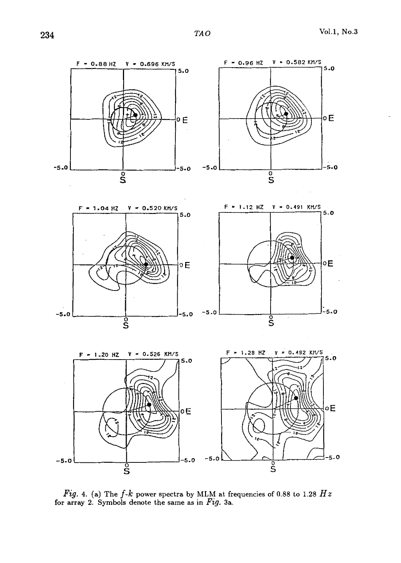$\bar{\mathcal{A}}$ 



Fig. 4. (a) The  $f$ - $k$  power spectra by MLM at frequencies of 0.88 to 1.28  $Hz$ for array 2. Symbols denote the same as in Fig. 3a.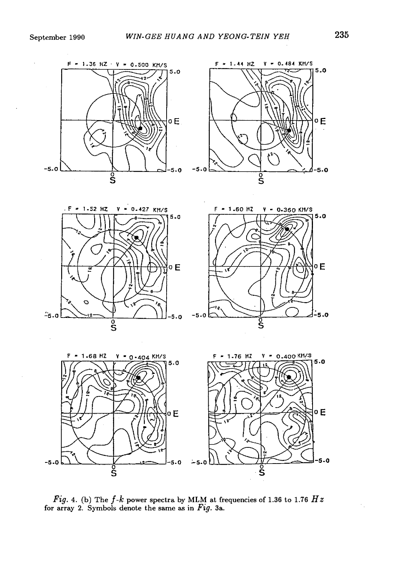





Fig. 4. (b) The  $f$ - $k$  power spectra by MLM at frequencies of 1.36 to 1.76  $Hz$ for array 2. Symbols denote the same as in  $Fig. 3a.$ 

 $\mathcal{F}_1$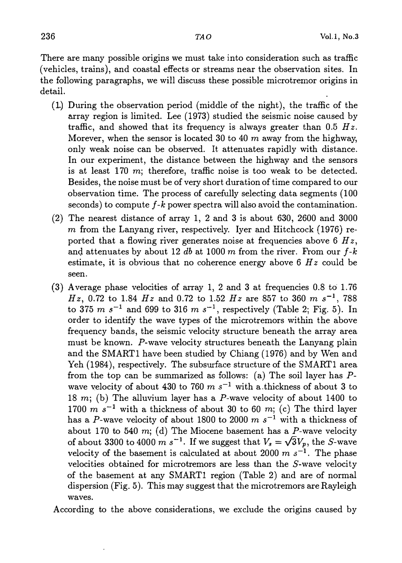There are many possible origins we must take into consideration such as traffic (vehicles, trains), and coastal effects or streams near the observation sites. In the following paragraphs, we will discuss these possible microtremor origins in detail.

- (L) During the observation period (middle of the night), the traffic of the array region is limited. Lee (1973) studied the seismic noise caused by traffic, and showed that its frequency is always greater than  $0.5$  Hz. Morever, when the sensor is located 30 to 40  $m$  away from the highway, only weak noise can be observed. It attenuates rapidly with distance. In our experiment, the distance between the highway and the sensors is at least 170  $m$ ; therefore, traffic noise is too weak to be detected. Besides, the noise must be of very short duration of time compared to our observation time. The process of carefully selecting data segments (100 seconds) to compute  $f$ - $k$  power spectra will also avoid the contamination.
- (2) The nearest distance of array 1, 2 and 3 is about 630, 2600 and 3000  $m$  from the Lanyang river, respectively. Iyer and Hitchcock (1976) reported that a flowing river generates noise at frequencies above 6  $Hz$ , and attenuates by about 12 db at 1000 m from the river. From our  $f$ -k estimate, it is obvious that no coherence energy above  $6 \ Hz$  could be seen.
- (3) Average phase velocities of array 1, 2 and 3 at frequencies  $0.8$  to  $1.76$  $Hz$ , 0.72 to 1.84  $Hz$  and 0.72 to 1.52  $Hz$  are 857 to 360  $m s^{-1}$ , 788 to 375 m  $s^{-1}$  and 699 to 316 m  $s^{-1}$ , respectively (Table 2; Fig. 5). In order to identify the wave types of the microtremors within the above frequency bands, the seismic velocity structure beneath the array area must be known. P-wave velocity structures beneath the Lanyang plain and the SMARTl have been studied by Chiang (1976) and by Wen and Yeh (1984), respectively. The subsurface structure of the SMART1 area from the top can be summarized as follows: (a) The soil layer has Pwave velocity of about 430 to 760  $m s^{-1}$  with a thickness of about 3 to 18 m; (b) The alluvium layer has a P-wave velocity of about 1400 to 1700 m  $s^{-1}$  with a thickness of about 30 to 60 m; (c) The third layer has a P-wave velocity of about 1800 to 2000  $m s^{-1}$  with a thickness of about 170 to 540 m; (d) The Miocene basement has a  $P$ -wave velocity of about 3300 to 4000 m s<sup>-1</sup>. If we suggest that  $V_s = \sqrt{3}V_p$ , the S-wave velocity of the basement is calculated at about 2000 m  $s^{-1}$ . The phase velocities obtained for microtremors are less than the S-wave velocity of the basement at any SMARTl region (Table 2) and are of normal dispersion (Fig. 5). This may suggest that the microtremors are Rayleigh waves.

According to the above considerations, we exclude the origins caused by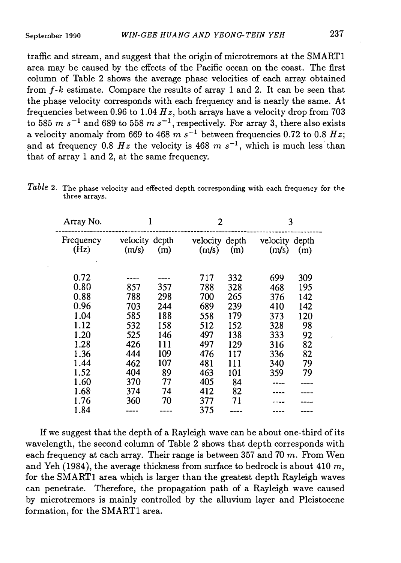traffic and stream, and suggest that the origin of microtremors at the SMARTl area may be caused by the effects of the Pacific ocean on the coast. The first column of Table 2 shows the average phase velocities of each array: obtained from  $f-k$  estimate. Compare the results of array 1 and 2. It can be seen that the phase velocity corresponds with each frequency and is nearly the same. At frequencies between 0.96 to 1.04  $Hz$ , both arrays have a velocity drop from 703 to 585 m  $s^{-1}$  and 689 to 558 m  $s^{-1}$ , respectively. For array 3, there also exists a velocity anomaly from 669 to 468  $m s^{-1}$  between frequencies 0.72 to 0.8  $Hz$ ; and at frequency 0.8 Hz the velocity is 468 m  $s^{-1}$ , which is much less than that of array 1 and 2, at the same frequency.

| Array No.         |                         |     | 2                       |     | 3                       |     |
|-------------------|-------------------------|-----|-------------------------|-----|-------------------------|-----|
| Frequency<br>(Hz) | velocity depth<br>(m/s) | (m) | velocity depth<br>(m/s) | (m) | velocity depth<br>(m/s) | (m) |
| 0.72              |                         |     | 717                     | 332 | 699                     | 309 |
| 0.80              | 857                     | 357 | 788                     | 328 | 468                     | 195 |
| 0.88              | 788                     | 298 | 700                     | 265 | 376                     | 142 |
| 0.96              | 703                     | 244 | 689                     | 239 | 410                     | 142 |
| 1.04              | 585                     | 188 | 558                     | 179 | 373                     | 120 |
| 1.12              | 532                     | 158 | 512                     | 152 | 328                     | 98  |
| 1.20              | 525                     | 146 | 497                     | 138 | 333                     | 92  |
| 1.28              | 426                     | 111 | 497                     | 129 | 316                     | 82  |
| 1.36              | 444                     | 109 | 476                     | 117 | 336                     | 82  |
| 1.44              | 462                     | 107 | 481                     | 111 | 340                     | 79  |
| 1.52              | 404                     | 89  | 463                     | 101 | 359                     | 79  |
| 1.60              | 370                     | 77  | 405                     | 84  |                         |     |
| 1.68              | 374                     | 74  | 412                     | 82  |                         |     |
| 1.76              | 360                     | 70  | 377                     | 71  |                         |     |
| 1.84              |                         |     | 375                     |     |                         |     |

Table 2. The phase velocity and effected depth corresponding with each frequency for the three arrays.

If we suggest that the depth of a Rayleigh wave can be about one-third of its wavelength, the second column of Table 2 shows that depth corresponds with each frequency at each array. Their range is between 357 and 70  $m$ . From Wen and Yeh (1984), the average thickness from surface to bedrock is about 410  $m$ , for the SMARTl area which is larger than the greatest depth Rayleigh waves can penetrate. Therefore, the propagation path of a Rayleigh wave caused by microtremors is mainly controlled by the alluvium layer and Pleistocene formation, for the SMARTl area.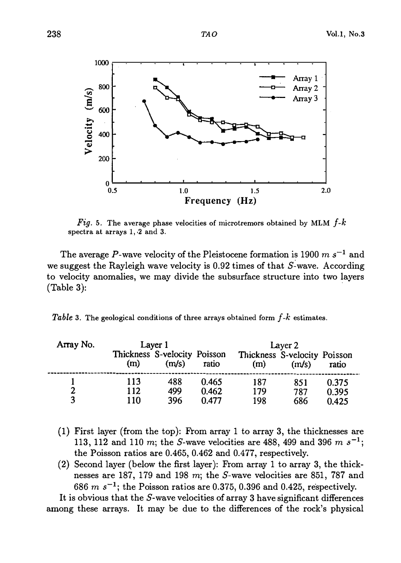

Fig. 5. The average phase velocities of microtremors obtained by MLM  $f-k$ spectra at arrays 1, 2 and 3.

The average P-wave velocity of the Pleistocene formation is 1900 m  $s^{-1}$  and we suggest the Rayleigh wave velocity is  $0.92$  times of that S-wave. According to velocity anomalies, we may divide the subsurface structure into two layers (Table 3):

Table 3. The geological conditions of three arrays obtained form  $f-k$  estimates.

| Array No.           | Layer 1                             |                   |                         | Layer 2                             |            |                |  |
|---------------------|-------------------------------------|-------------------|-------------------------|-------------------------------------|------------|----------------|--|
|                     | Thickness S-velocity Poisson<br>(m) | (m/s)             | ratio                   | Thickness S-velocity Poisson<br>(m) | (m/s)      | ratio          |  |
| $\overline{2}$<br>3 | 113<br>112<br>110                   | 488<br>499<br>396 | 0.465<br>0.462<br>0.477 | 187<br>179                          | 851<br>787 | 0.375<br>0.395 |  |
|                     |                                     |                   |                         | 198                                 | 686        | 0.425          |  |

- (1) First layer (from the top): From array 1 to array 3, the thicknesses are 113, 112 and 110 m; the S-wave velocities are 488, 499 and 396 m  $s^{-1}$ ; the Poisson ratios are 0.465, 0.462 and 0.477, respectively.
- $(2)$  Second layer (below the first layer): From array 1 to array 3, the thicknesses are 187, 179 and 198 m; the S-wave velocities are 851, 787 and 686 m  $s^{-1}$ ; the Poisson ratios are 0.375, 0.396 and 0.425, respectively.

It is obvious that the S-wave velocities of array 3 have significant differences among these arrays. It may be due to the differences of the rock's physical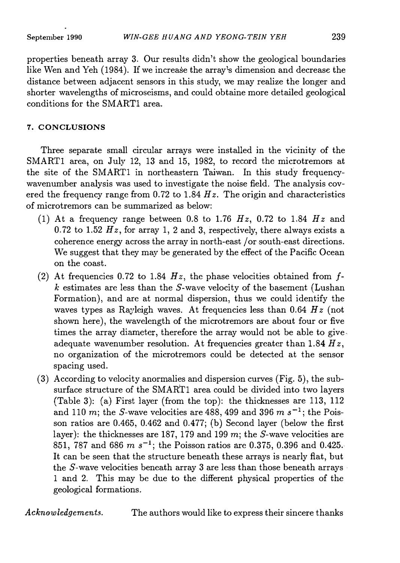properties beneath array 3. Our results didn't show the geological boundaries like Wen and Yeh (1984). If we increase the array's dimension and decrease the distance between adjacent sensors in this study, we may realize the longer and shorter wavelengths of microseisms, and could obtaine more detailed geological conditions for the SMARTl area.

## 7. CONCLUSIONS

Three separate small circular arrays were installed in the vicinity of the SMART1 area, on July 12, 13 and 15, 1982, to record the microtremors at the site of the SMARTl in northeastern Taiwan. In this study frequencywavenumber analysis was used to investigate the noise field. The analysis covered the frequency range from 0.72 to 1.84  $Hz$ . The origin and characteristics of microtremors can be summarized as below:

- (1) At a frequency range between 0.8 to 1.76  $Hz$ , 0.72 to 1.84  $Hz$  and 0.72 to 1.52  $Hz$ , for array 1, 2 and 3, respectively, there always exists a coherence energy across the array in north-east /or south-east directions. We suggest that they may be generated by the effect of the Pacific Ocean on the coast.
- (2) At frequencies 0.72 to 1.84  $Hz$ , the phase velocities obtained from f $k$  estimates are less than the  $S$ -wave velocity of the basement (Lushan Formation), and are at normal dispersion, thus we could identify the waves types as Rayleigh waves. At frequencies less than 0.64  $Hz$  (not shown here), the wavelength of the microtremors are about four or five times the array diameter, therefore the array would not be able to give adequate wavenumber resolution. At frequencies greater than 1.84  $Hz$ , no organization of the microtremors could be detected at the sensor spacing used.
- (3) According to velocity anormalies and dispersion curves (Fig. 5), the subsurface structure of the SMARTl area could be divided into two layers (Table 3): (a) First layer (from the top): the thicknesses are 113, 112 and 110 m; the S-wave velocities are 488, 499 and 396 m  $s^{-1}$ ; the Poisson ratios are 0.465, 0.462 and 0.477; (b) Second layer (below the first layer): the thicknesses are 187, 179 and 199 m; the S-wave velocities are 851, 787 and 686  $m s^{-1}$ ; the Poisson ratios are 0.375, 0.396 and 0.425. It can be seen that the structure beneath these arrays is nearly flat, but the S-wave velocities beneath array 3 are less than those beneath arrays · 1 and 2. This may be due to the different physical properties of the geological formations.

Acknowledgements. The authors would like to express their sincere thanks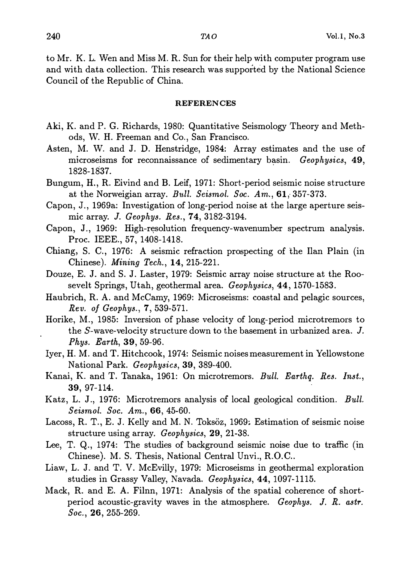to Mr. K. L. Wen and Miss M. R. Sun for their help with computer program use and with data collection. This research was supported by the National Science Council of the Republic of China.

#### REFERENCES

- Aki, K. and P. G. Richards, 1980: Quantitative Seismology Theory and Methods, W. H. Freeman and Co., San Francisco.
- Asten, M. W. and J. D. Henstridge, 1984: Array estimates and the use of microseisms for reconnaissance of sedimentary basin. Geophysics, 49, 1828-1837.
- Bungum, H., R. Eivind and B. Leif, 1971: Short-period seismic noise structure at the Norweigian array. Bull. Seismol. Soc.  $Am., 61, 357-373.$
- Capon, J., 1969a: Investigation of long-period noise at the large aperture seismic array. J. Geophys. Res., 74, 3182-3194.
- Capon, J., 1969: High-resolution frequency-wavenumber spectrum analysis. Proc. IEEE., 57, 1408-1418.
- Chiang, S. C., 1976: A seismic refraction prospecting of the Ilan Plain (in Chinese). Mining Tech., 14, 215-221.
- Douze, E. J. and S. J. Laster, 1979: Seismic array noise structure at the Roosevelt Springs, Utah, geothermal area. Geophysics, 44, 1570-1583.
- Haubrich, R. A. and McCamy, 1969: Microseisms: coastal and pelagic sources, Rev. of Geophys., 7, 539-571.
- Horike, M., 1985: Inversion of phase velocity of long-period microtremors to the S-wave-velocity structure down to the basement in urbanized area. J. Phys. Earth, 39, 59-96.
- Iyer, H. M. and T. Hitchcook, 1974: Seismic noises measurement in Yellowstone National Park. Geophysics, 39, 389-400.
- Kanai, K. and T. Tanaka, 1961: On microtremors. Bull. Earthq. Res. Inst., 39, 97-114.
- Katz, L. J., 1976: Microtremors analysis of local geological condition. Bull. Seismol. Soc. Am., 66, 45-60.
- Lacoss, R. T., E. J. Kelly and M. N. Toksöz, 1969: Estimation of seismic noise structure using array. Geophysics, 29, 21-38.
- Lee, T. Q., 1974: The studies of background seismic noise due to traffic (in Chinese). M. S. Thesis, National Central Unvi., R.O.C..
- Liaw, L. J. and T. V. McEvilly, 1979: Microseisms in geothermal exploration studies in Grassy Valley, Navada. Geophysics, 44, 1097-1115.
- Mack, R. and E. A. Filnn, 1971: Analysis of the spatial coherence of shortperiod acoustic-gravity waves in the atmosphere. Geophys. J. R. astr. Soc., 26, 255-269.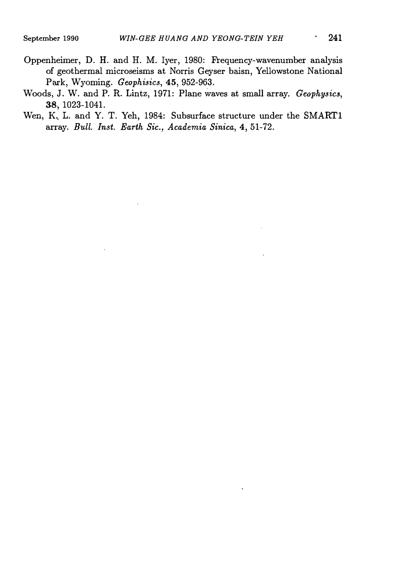- Oppenheimer, D. H. and H. M. Iyer, 1980: Frequency-wavenumber analysis of geothermal microseisms at Norris Geyser baisn, Yellowstone National Park, Wyoming. Geophisics, 45, 952-963.
- Woods, J. W. and P. R. Lintz, 1971: Plane waves at small array. Geophysics, 38' 1023-1041.
- Wen, K. L. and Y. T. Yeh, 1984: Subsurface structure under the SMART1 array. Bull. Inst. Earth Sic., Academia Sinica, 4, 51-72.